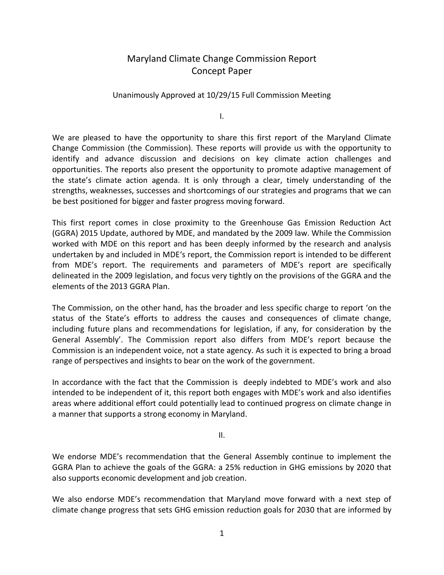## Maryland Climate Change Commission Report Concept Paper

## Unanimously Approved at 10/29/15 Full Commission Meeting

I.

We are pleased to have the opportunity to share this first report of the Maryland Climate Change Commission (the Commission). These reports will provide us with the opportunity to identify and advance discussion and decisions on key climate action challenges and opportunities. The reports also present the opportunity to promote adaptive management of the state's climate action agenda. It is only through a clear, timely understanding of the strengths, weaknesses, successes and shortcomings of our strategies and programs that we can be best positioned for bigger and faster progress moving forward.

This first report comes in close proximity to the Greenhouse Gas Emission Reduction Act (GGRA) 2015 Update, authored by MDE, and mandated by the 2009 law. While the Commission worked with MDE on this report and has been deeply informed by the research and analysis undertaken by and included in MDE's report, the Commission report is intended to be different from MDE's report. The requirements and parameters of MDE's report are specifically delineated in the 2009 legislation, and focus very tightly on the provisions of the GGRA and the elements of the 2013 GGRA Plan.

The Commission, on the other hand, has the broader and less specific charge to report 'on the status of the State's efforts to address the causes and consequences of climate change, including future plans and recommendations for legislation, if any, for consideration by the General Assembly'. The Commission report also differs from MDE's report because the Commission is an independent voice, not a state agency. As such it is expected to bring a broad range of perspectives and insights to bear on the work of the government.

In accordance with the fact that the Commission is deeply indebted to MDE's work and also intended to be independent of it, this report both engages with MDE's work and also identifies areas where additional effort could potentially lead to continued progress on climate change in a manner that supports a strong economy in Maryland.

II.

We endorse MDE's recommendation that the General Assembly continue to implement the GGRA Plan to achieve the goals of the GGRA: a 25% reduction in GHG emissions by 2020 that also supports economic development and job creation.

We also endorse MDE's recommendation that Maryland move forward with a next step of climate change progress that sets GHG emission reduction goals for 2030 that are informed by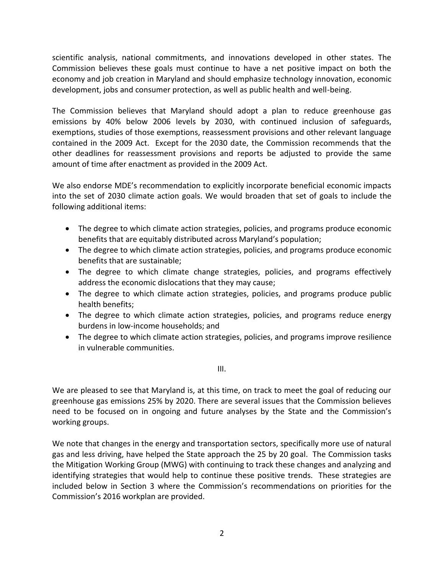scientific analysis, national commitments, and innovations developed in other states. The Commission believes these goals must continue to have a net positive impact on both the economy and job creation in Maryland and should emphasize technology innovation, economic development, jobs and consumer protection, as well as public health and well-being.

The Commission believes that Maryland should adopt a plan to reduce greenhouse gas emissions by 40% below 2006 levels by 2030, with continued inclusion of safeguards, exemptions, studies of those exemptions, reassessment provisions and other relevant language contained in the 2009 Act. Except for the 2030 date, the Commission recommends that the other deadlines for reassessment provisions and reports be adjusted to provide the same amount of time after enactment as provided in the 2009 Act.

We also endorse MDE's recommendation to explicitly incorporate beneficial economic impacts into the set of 2030 climate action goals. We would broaden that set of goals to include the following additional items:

- The degree to which climate action strategies, policies, and programs produce economic benefits that are equitably distributed across Maryland's population;
- The degree to which climate action strategies, policies, and programs produce economic benefits that are sustainable;
- The degree to which climate change strategies, policies, and programs effectively address the economic dislocations that they may cause;
- The degree to which climate action strategies, policies, and programs produce public health benefits;
- The degree to which climate action strategies, policies, and programs reduce energy burdens in low-income households; and
- The degree to which climate action strategies, policies, and programs improve resilience in vulnerable communities.

III.

We are pleased to see that Maryland is, at this time, on track to meet the goal of reducing our greenhouse gas emissions 25% by 2020. There are several issues that the Commission believes need to be focused on in ongoing and future analyses by the State and the Commission's working groups.

We note that changes in the energy and transportation sectors, specifically more use of natural gas and less driving, have helped the State approach the 25 by 20 goal. The Commission tasks the Mitigation Working Group (MWG) with continuing to track these changes and analyzing and identifying strategies that would help to continue these positive trends. These strategies are included below in Section 3 where the Commission's recommendations on priorities for the Commission's 2016 workplan are provided.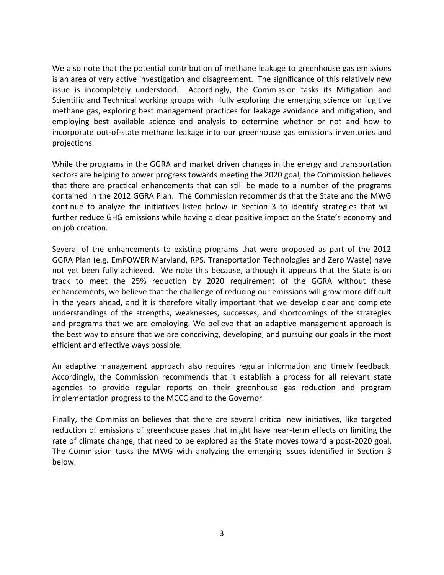We also note that the potential contribution of methane leakage to greenhouse gas emissions is an area of very active investigation and disagreement. The significance of this relatively new issue is incompletely understood. Accordingly, the Commission tasks its Mitigation and Scientific and Technical working groups with fully exploring the emerging science on fugitive methane gas, exploring best management practices for leakage avoidance and mitigation, and employing best available science and analysis to determine whether or not and how to incorporate out-of-state methane leakage into our greenhouse gas emissions inventories and projections.

While the programs in the GGRA and market driven changes in the energy and transportation sectors are helping to power progress towards meeting the 2020 goal, the Commission believes that there are practical enhancements that can still be made to a number of the programs contained in the 2012 GGRA Plan. The Commission recommends that the State and the MWG continue to analyze the initiatives listed below in Section 3 to identify strategies that will further reduce GHG emissions while having a clear positive impact on the State's economy and on job creation.

Several of the enhancements to existing programs that were proposed as part of the 2012 GGRA Plan (e.g. EmPOWER Maryland, RPS, Transportation Technologies and Zero Waste) have not yet been fully achieved. We note this because, although it appears that the State is on track to meet the 25% reduction by 2020 requirement of the GGRA without these enhancements, we believe that the challenge of reducing our emissions will grow more difficult in the years ahead, and it is therefore vitally important that we develop clear and complete understandings of the strengths, weaknesses, successes, and shortcomings of the strategies and programs that we are employing. We believe that an adaptive management approach is the best way to ensure that we are conceiving, developing, and pursuing our goals in the most efficient and effective ways possible.

An adaptive management approach also requires regular information and timely feedback. Accordingly, the Commission recommends that it establish a process for all relevant state agencies to provide regular reports on their greenhouse gas reduction and program implementation progress to the MCCC and to the Governor.

Finally, the Commission believes that there are several critical new initiatives, like targeted reduction of emissions of greenhouse gases that might have near-term effects on limiting the rate of climate change, that need to be explored as the State moves toward a post-2020 goal. The Commission tasks the MWG with analyzing the emerging issues identified in Section 3 below.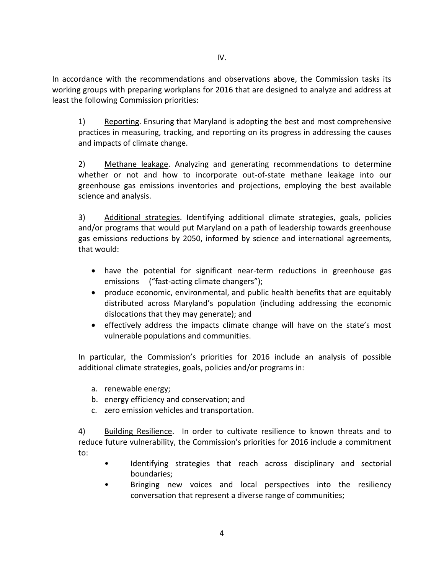In accordance with the recommendations and observations above, the Commission tasks its working groups with preparing workplans for 2016 that are designed to analyze and address at least the following Commission priorities:

1) Reporting. Ensuring that Maryland is adopting the best and most comprehensive practices in measuring, tracking, and reporting on its progress in addressing the causes and impacts of climate change.

2) Methane leakage. Analyzing and generating recommendations to determine whether or not and how to incorporate out-of-state methane leakage into our greenhouse gas emissions inventories and projections, employing the best available science and analysis.

3) Additional strategies. Identifying additional climate strategies, goals, policies and/or programs that would put Maryland on a path of leadership towards greenhouse gas emissions reductions by 2050, informed by science and international agreements, that would:

- have the potential for significant near-term reductions in greenhouse gas emissions ("fast-acting climate changers");
- produce economic, environmental, and public health benefits that are equitably distributed across Maryland's population (including addressing the economic dislocations that they may generate); and
- effectively address the impacts climate change will have on the state's most vulnerable populations and communities.

In particular, the Commission's priorities for 2016 include an analysis of possible additional climate strategies, goals, policies and/or programs in:

- a. renewable energy;
- b. energy efficiency and conservation; and
- c. zero emission vehicles and transportation.

4) Building Resilience. In order to cultivate resilience to known threats and to reduce future vulnerability, the Commission's priorities for 2016 include a commitment to:

- Identifying strategies that reach across disciplinary and sectorial boundaries;
- Bringing new voices and local perspectives into the resiliency conversation that represent a diverse range of communities;